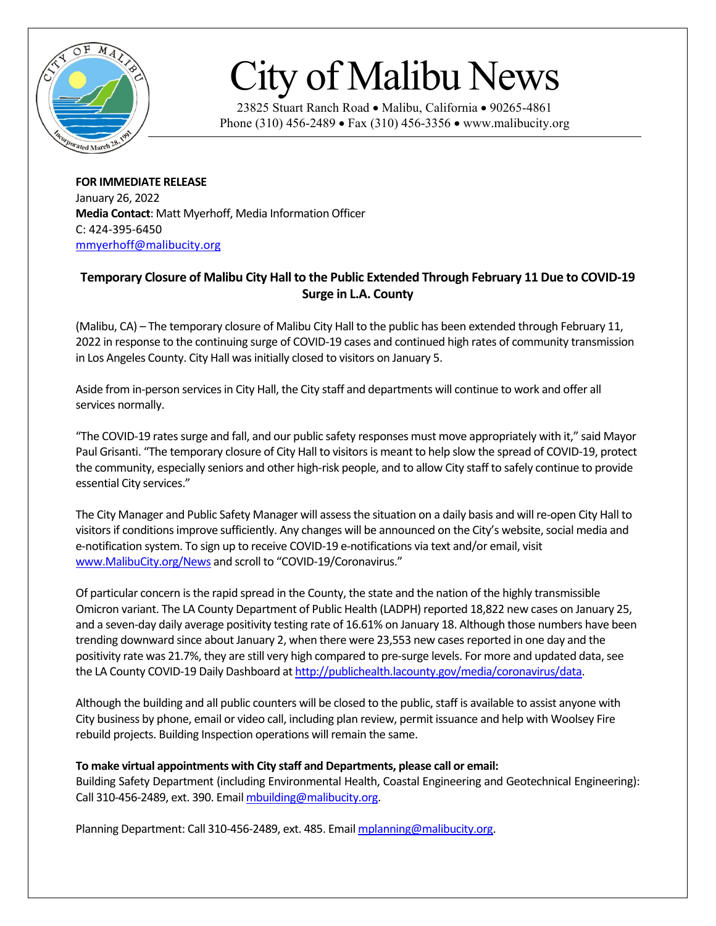

## City of Malibu News

23825 Stuart Ranch Road • Malibu, California • 90265-4861 Phone (310) 456-2489 • Fax (310) 456-3356 • www.malibucity.org

**FOR IMMEDIATE RELEASE** January 26, 2022 **Media Contact**: Matt Myerhoff, Media Information Officer C: 424-395-6450 [mmyerhoff@malibucity.org](mailto:mmyerhoff@malibucity.org)

## **Temporary Closure of Malibu City Hall to the Public Extended Through February 11 Due to COVID-19 Surge in L.A. County**

(Malibu, CA) – The temporary closure of Malibu City Hall to the public has been extended through February 11, 2022 in response to the continuing surge of COVID-19 cases and continued high rates of community transmission in Los Angeles County. City Hall was initially closed to visitors on January 5.

Aside from in-person services in City Hall, the City staff and departments will continue to work and offer all services normally.

"The COVID-19 rates surge and fall, and our public safety responses must move appropriately with it," said Mayor Paul Grisanti. "The temporary closure of City Hall to visitorsis meant to help slow the spread of COVID-19, protect the community, especially seniors and other high-risk people, and to allow City staff to safely continue to provide essential City services."

The City Manager and Public Safety Manager will assessthe situation on a daily basis and will re-open City Hall to visitors if conditions improve sufficiently. Any changes will be announced on the City's website, social media and e-notification system. To sign up to receive COVID-19 e-notifications via text and/or email, visit [www.MalibuCity.org/News](http://www.malibucity.org/News) and scroll to "COVID-19/Coronavirus."

Of particular concern is the rapid spread in the County, the state and the nation of the highly transmissible Omicron variant. The LA County Department of Public Health (LADPH) reported 18,822 new cases on January 25, and a seven-day daily average positivity testing rate of 16.61% on January 18. Although those numbers have been trending downward since about January 2, when there were 23,553 new cases reported in one day and the positivity rate was 21.7%, they are still very high compared to pre-surge levels. For more and updated data, see the LA County COVID-19 Daily Dashboard a[t http://publichealth.lacounty.gov/media/coronavirus/data.](http://publichealth.lacounty.gov/media/coronavirus/data)

Although the building and all public counters will be closed to the public, staff is available to assist anyone with City business by phone, email or video call, including plan review, permit issuance and help with Woolsey Fire rebuild projects. Building Inspection operations will remain the same.

## **To make virtual appointments with City staff and Departments, please call or email:**

Building Safety Department (including Environmental Health, Coastal Engineering and Geotechnical Engineering): Call 310-456-2489, ext. 390. Emai[l mbuilding@malibucity.org.](mailto:mbuilding@malibucity.org)

Planning Department: Call 310-456-2489, ext. 485. Email [mplanning@malibucity.org.](mailto:mplanning@malibucity.org)